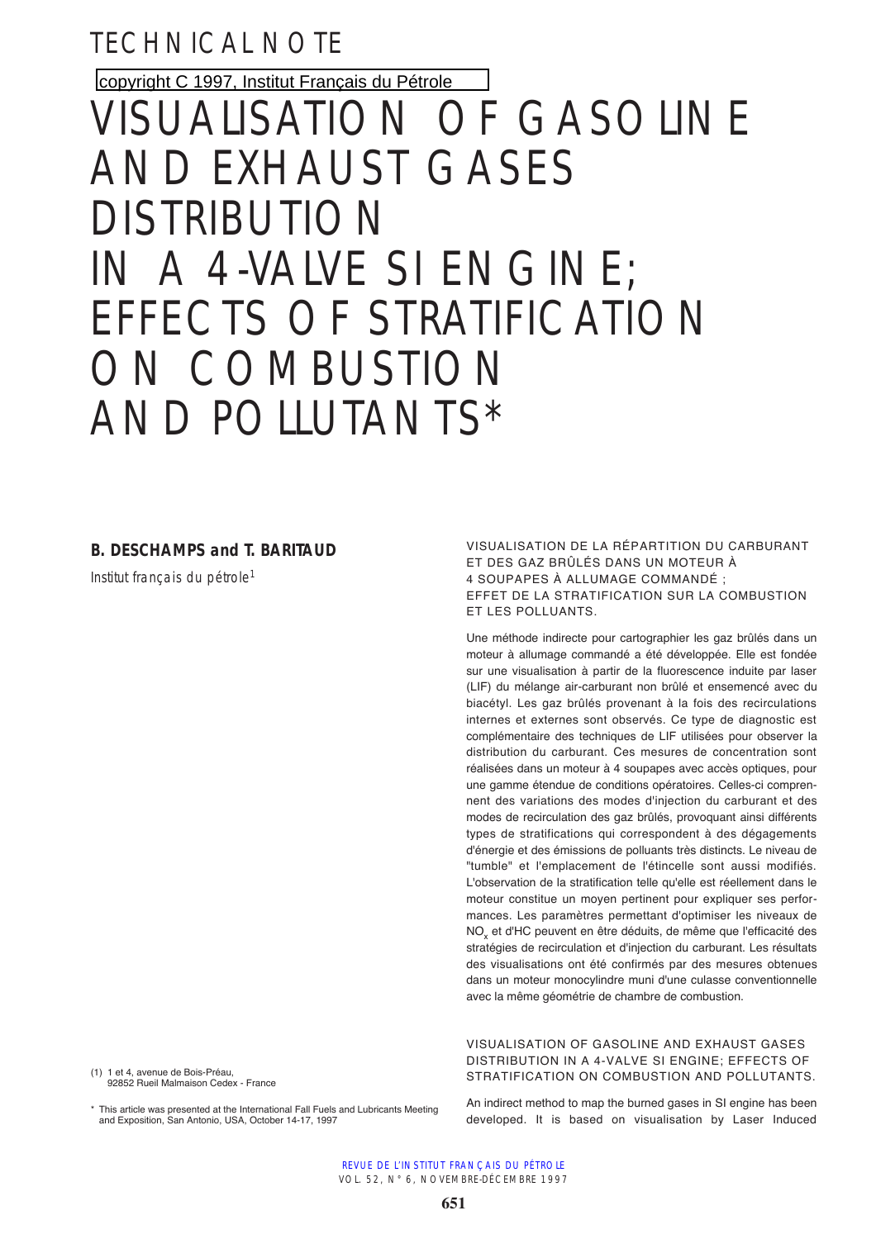TECHNICAL NOTE

copyright C 1997, [Institut Français du Pétrole](http://www.ifp.fr/)

# VISUALISATION OF GASOLINE AND EXHAUST GASES DISTRIBUTION IN A 4-VALVE SI ENGINE; EFFECTS OF STRATIFICATION ON COMBUSTION AND POLLUTANTS\*

## **B. DESCHAMPS and T. BARITAUD**

Institut francais du pétrole<sup>1</sup>

(1) 1 et 4, avenue de Bois-Préau, 92852 Rueil Malmaison Cedex - France

\* This article was presented at the International Fall Fuels and Lubricants Meeting and Exposition, San Antonio, USA, October 14-17, 1997

VISUALISATION DE LA RÉPARTITION DU CARBURANT ET DES GAZ BRÛLÉS DANS UN MOTEUR À 4 SOUPAPES À ALLUMAGE COMMANDÉ ; EFFET DE LA STRATIFICATION SUR LA COMBUSTION ET LES POLLUANTS.

Une méthode indirecte pour cartographier les gaz brûlés dans un moteur à allumage commandé a été développée. Elle est fondée sur une visualisation à partir de la fluorescence induite par laser (LIF) du mélange air-carburant non brûlé et ensemencé avec du biacétyl. Les gaz brûlés provenant à la fois des recirculations internes et externes sont observés. Ce type de diagnostic est complémentaire des techniques de LIF utilisées pour observer la distribution du carburant. Ces mesures de concentration sont réalisées dans un moteur à 4 soupapes avec accès optiques, pour une gamme étendue de conditions opératoires. Celles-ci comprennent des variations des modes d'injection du carburant et des modes de recirculation des gaz brûlés, provoquant ainsi différents types de stratifications qui correspondent à des dégagements d'énergie et des émissions de polluants très distincts. Le niveau de "tumble" et l'emplacement de l'étincelle sont aussi modifiés. L'observation de la stratification telle qu'elle est réellement dans le moteur constitue un moyen pertinent pour expliquer ses performances. Les paramètres permettant d'optimiser les niveaux de NOx et d'HC peuvent en être déduits, de même que l'efficacité des stratégies de recirculation et d'injection du carburant. Les résultats des visualisations ont été confirmés par des mesures obtenues dans un moteur monocylindre muni d'une culasse conventionnelle avec la même géométrie de chambre de combustion.

VISUALISATION OF GASOLINE AND EXHAUST GASES DISTRIBUTION IN A 4-VALVE SI ENGINE; EFFECTS OF STRATIFICATION ON COMBUSTION AND POLLUTANTS.

An indirect method to map the burned gases in SI engine has been developed. It is based on visualisation by Laser Induced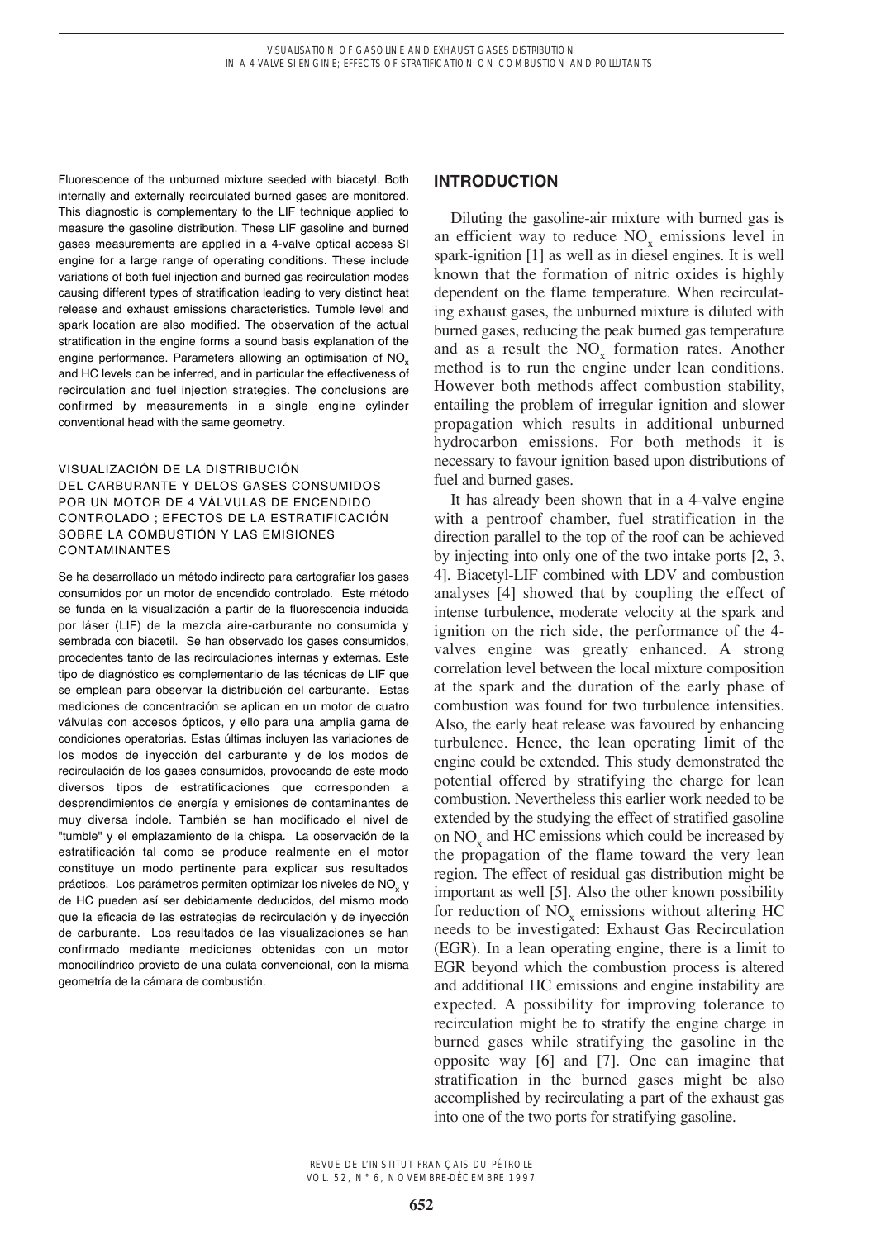Fluorescence of the unburned mixture seeded with biacetyl. Both internally and externally recirculated burned gases are monitored. This diagnostic is complementary to the LIF technique applied to measure the gasoline distribution. These LIF gasoline and burned gases measurements are applied in a 4-valve optical access SI engine for a large range of operating conditions. These include variations of both fuel injection and burned gas recirculation modes causing different types of stratification leading to very distinct heat release and exhaust emissions characteristics. Tumble level and spark location are also modified. The observation of the actual stratification in the engine forms a sound basis explanation of the engine performance. Parameters allowing an optimisation of NO<sub>x</sub> and HC levels can be inferred, and in particular the effectiveness of recirculation and fuel injection strategies. The conclusions are confirmed by measurements in a single engine cylinder conventional head with the same geometry.

## VISUALIZACIÓN DE LA DISTRIBUCIÓN DEL CARBURANTE Y DELOS GASES CONSUMIDOS POR UN MOTOR DE 4 VÁLVULAS DE ENCENDIDO CONTROLADO ; EFECTOS DE LA ESTRATIFICACIÓN SOBRE LA COMBUSTIÓN Y LAS EMISIONES CONTAMINANTES

Se ha desarrollado un método indirecto para cartografiar los gases consumidos por un motor de encendido controlado. Este método se funda en la visualización a partir de la fluorescencia inducida por láser (LIF) de la mezcla aire-carburante no consumida y sembrada con biacetil. Se han observado los gases consumidos, procedentes tanto de las recirculaciones internas y externas. Este tipo de diagnóstico es complementario de las técnicas de LIF que se emplean para observar la distribución del carburante. Estas mediciones de concentración se aplican en un motor de cuatro válvulas con accesos ópticos, y ello para una amplia gama de condiciones operatorias. Estas últimas incluyen las variaciones de los modos de inyección del carburante y de los modos de recirculación de los gases consumidos, provocando de este modo diversos tipos de estratificaciones que corresponden a desprendimientos de energía y emisiones de contaminantes de muy diversa índole. También se han modificado el nivel de "tumble" y el emplazamiento de la chispa. La observación de la estratificación tal como se produce realmente en el motor constituye un modo pertinente para explicar sus resultados prácticos. Los parámetros permiten optimizar los niveles de NO<sub>v</sub> y de HC pueden así ser debidamente deducidos, del mismo modo que la eficacia de las estrategias de recirculación y de inyección de carburante. Los resultados de las visualizaciones se han confirmado mediante mediciones obtenidas con un motor monocilíndrico provisto de una culata convencional, con la misma geometría de la cámara de combustión.

## **INTRODUCTION**

Diluting the gasoline-air mixture with burned gas is an efficient way to reduce  $NO<sub>v</sub>$  emissions level in spark-ignition [1] as well as in diesel engines. It is well known that the formation of nitric oxides is highly dependent on the flame temperature. When recirculating exhaust gases, the unburned mixture is diluted with burned gases, reducing the peak burned gas temperature and as a result the  $NO<sub>v</sub>$  formation rates. Another method is to run the engine under lean conditions. However both methods affect combustion stability, entailing the problem of irregular ignition and slower propagation which results in additional unburned hydrocarbon emissions. For both methods it is necessary to favour ignition based upon distributions of fuel and burned gases.

It has already been shown that in a 4-valve engine with a pentroof chamber, fuel stratification in the direction parallel to the top of the roof can be achieved by injecting into only one of the two intake ports [2, 3, 4]. Biacetyl-LIF combined with LDV and combustion analyses [4] showed that by coupling the effect of intense turbulence, moderate velocity at the spark and ignition on the rich side, the performance of the 4 valves engine was greatly enhanced. A strong correlation level between the local mixture composition at the spark and the duration of the early phase of combustion was found for two turbulence intensities. Also, the early heat release was favoured by enhancing turbulence. Hence, the lean operating limit of the engine could be extended. This study demonstrated the potential offered by stratifying the charge for lean combustion. Nevertheless this earlier work needed to be extended by the studying the effect of stratified gasoline on NO<sub>y</sub> and HC emissions which could be increased by the propagation of the flame toward the very lean region. The effect of residual gas distribution might be important as well [5]. Also the other known possibility for reduction of NO<sub>x</sub> emissions without altering HC needs to be investigated: Exhaust Gas Recirculation (EGR). In a lean operating engine, there is a limit to EGR beyond which the combustion process is altered and additional HC emissions and engine instability are expected. A possibility for improving tolerance to recirculation might be to stratify the engine charge in burned gases while stratifying the gasoline in the opposite way [6] and [7]. One can imagine that stratification in the burned gases might be also accomplished by recirculating a part of the exhaust gas into one of the two ports for stratifying gasoline.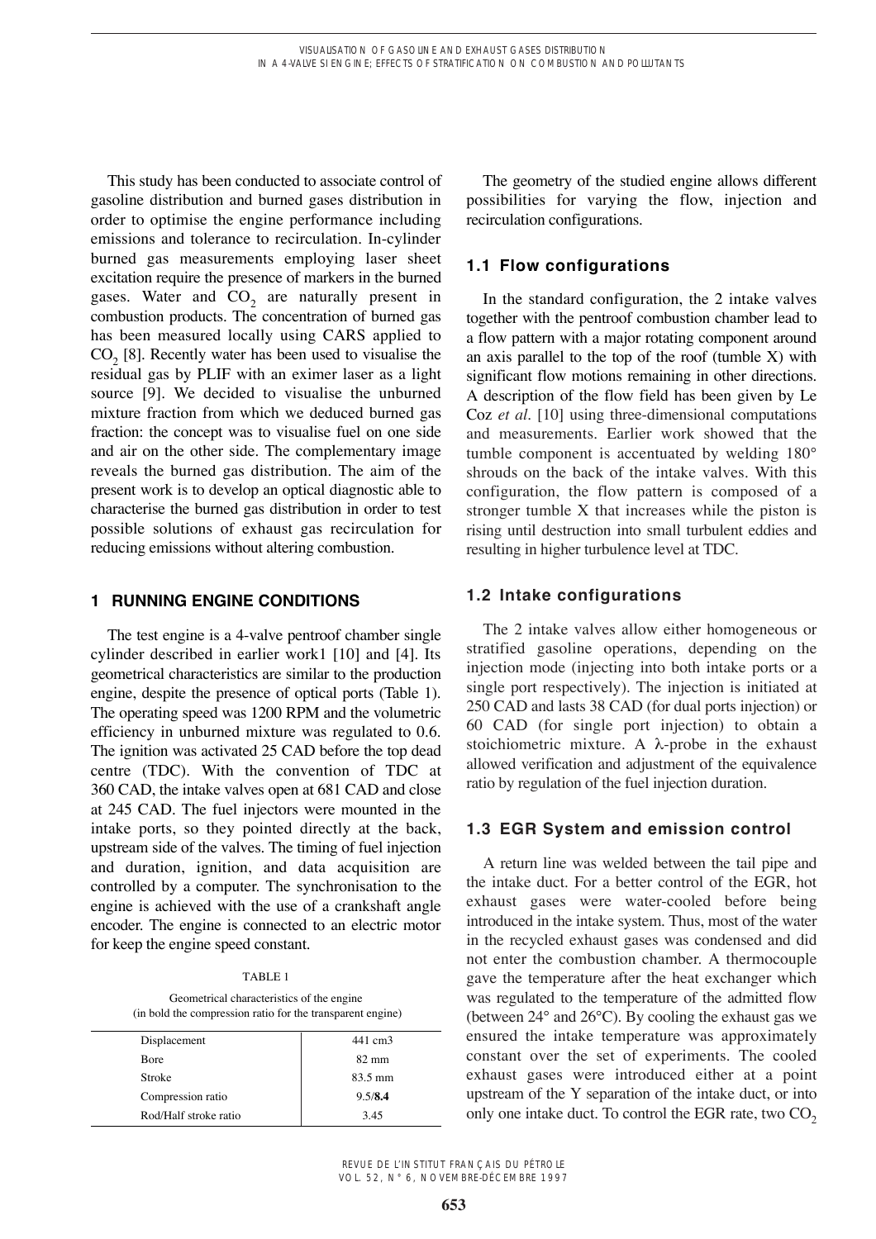This study has been conducted to associate control of gasoline distribution and burned gases distribution in order to optimise the engine performance including emissions and tolerance to recirculation. In-cylinder burned gas measurements employing laser sheet excitation require the presence of markers in the burned gases. Water and  $CO<sub>2</sub>$  are naturally present in combustion products. The concentration of burned gas has been measured locally using CARS applied to  $CO<sub>2</sub>$  [8]. Recently water has been used to visualise the residual gas by PLIF with an eximer laser as a light source [9]. We decided to visualise the unburned mixture fraction from which we deduced burned gas fraction: the concept was to visualise fuel on one side and air on the other side. The complementary image reveals the burned gas distribution. The aim of the present work is to develop an optical diagnostic able to characterise the burned gas distribution in order to test possible solutions of exhaust gas recirculation for reducing emissions without altering combustion.

## **1 RUNNING ENGINE CONDITIONS**

The test engine is a 4-valve pentroof chamber single cylinder described in earlier work1 [10] and [4]. Its geometrical characteristics are similar to the production engine, despite the presence of optical ports (Table 1). The operating speed was 1200 RPM and the volumetric efficiency in unburned mixture was regulated to 0.6. The ignition was activated 25 CAD before the top dead centre (TDC). With the convention of TDC at 360 CAD, the intake valves open at 681 CAD and close at 245 CAD. The fuel injectors were mounted in the intake ports, so they pointed directly at the back, upstream side of the valves. The timing of fuel injection and duration, ignition, and data acquisition are controlled by a computer. The synchronisation to the engine is achieved with the use of a crankshaft angle encoder. The engine is connected to an electric motor for keep the engine speed constant.

TABLE 1

Geometrical characteristics of the engine (in bold the compression ratio for the transparent engine)

| Displacement          | 441 cm3           |
|-----------------------|-------------------|
| <b>B</b> ore          | $82 \text{ mm}$   |
| Stroke                | $83.5 \text{ mm}$ |
| Compression ratio     | 9.5/8.4           |
| Rod/Half stroke ratio | 3.45              |

The geometry of the studied engine allows different possibilities for varying the flow, injection and recirculation configurations.

# **1.1 Flow configurations**

In the standard configuration, the 2 intake valves together with the pentroof combustion chamber lead to a flow pattern with a major rotating component around an axis parallel to the top of the roof (tumble  $X$ ) with significant flow motions remaining in other directions. A description of the flow field has been given by Le Coz *et al.* [10] using three-dimensional computations and measurements. Earlier work showed that the tumble component is accentuated by welding 180° shrouds on the back of the intake valves. With this configuration, the flow pattern is composed of a stronger tumble X that increases while the piston is rising until destruction into small turbulent eddies and resulting in higher turbulence level at TDC.

# **1.2 Intake configurations**

The 2 intake valves allow either homogeneous or stratified gasoline operations, depending on the injection mode (injecting into both intake ports or a single port respectively). The injection is initiated at 250 CAD and lasts 38 CAD (for dual ports injection) or 60 CAD (for single port injection) to obtain a stoichiometric mixture. A  $\lambda$ -probe in the exhaust allowed verification and adjustment of the equivalence ratio by regulation of the fuel injection duration.

## **1.3 EGR System and emission control**

A return line was welded between the tail pipe and the intake duct. For a better control of the EGR, hot exhaust gases were water-cooled before being introduced in the intake system. Thus, most of the water in the recycled exhaust gases was condensed and did not enter the combustion chamber. A thermocouple gave the temperature after the heat exchanger which was regulated to the temperature of the admitted flow (between 24° and 26°C). By cooling the exhaust gas we ensured the intake temperature was approximately constant over the set of experiments. The cooled exhaust gases were introduced either at a point upstream of the Y separation of the intake duct, or into only one intake duct. To control the EGR rate, two  $CO<sub>2</sub>$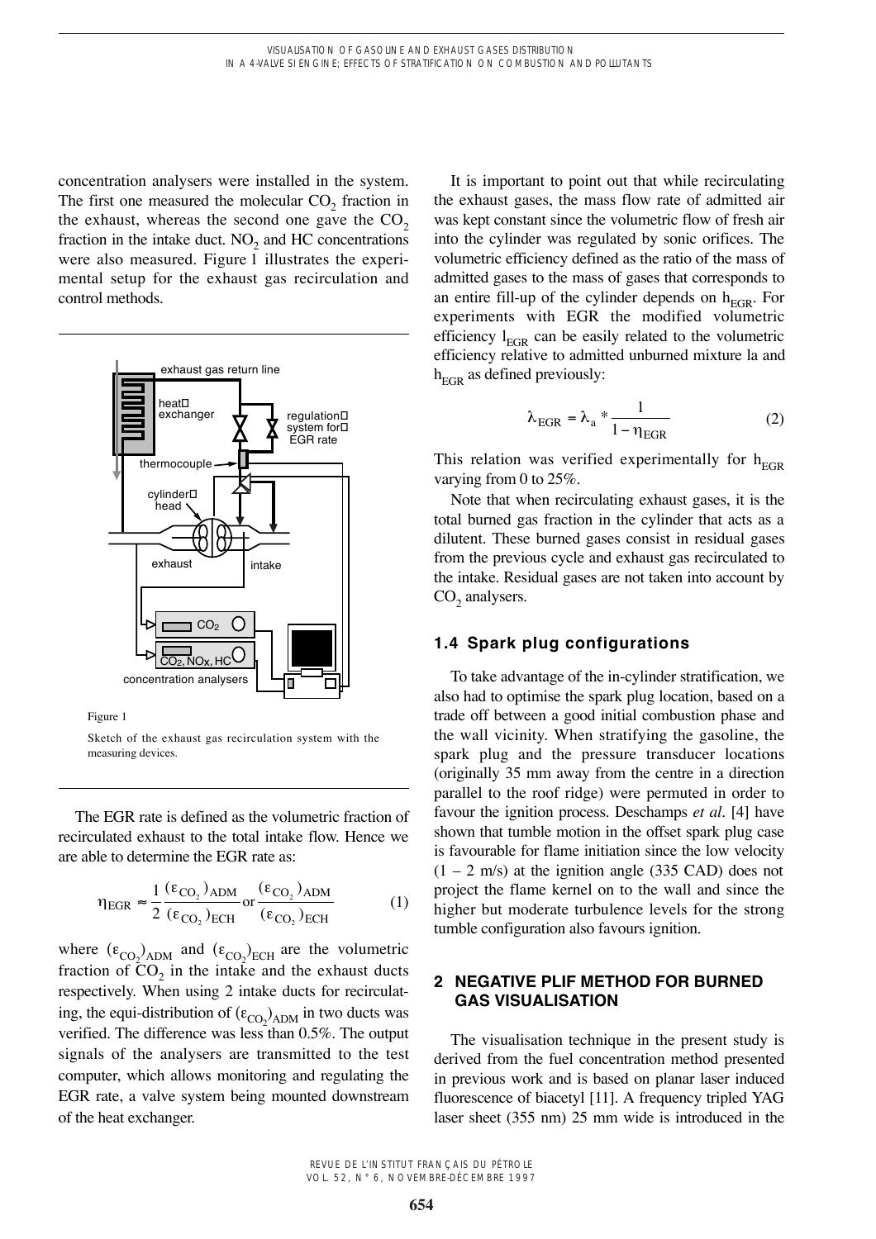concentration analysers were installed in the system. The first one measured the molecular  $CO<sub>2</sub>$  fraction in the exhaust, whereas the second one gave the  $CO<sub>2</sub>$ fraction in the intake duct.  $NO<sub>2</sub>$  and HC concentrations were also measured. Figure 1 illustrates the experimental setup for the exhaust gas recirculation and control methods.



Figure 1

Sketch of the exhaust gas recirculation system with the measuring devices.

The EGR rate is defined as the volumetric fraction of recirculated exhaust to the total intake flow. Hence we are able to determine the EGR rate as:

$$
\eta_{\text{EGR}} \approx \frac{1}{2} \frac{(\epsilon_{\text{CO}_2})_{\text{ADM}}}{(\epsilon_{\text{CO}_2})_{\text{ECH}}} \text{ or } \frac{(\epsilon_{\text{CO}_2})_{\text{ADM}}}{(\epsilon_{\text{CO}_2})_{\text{ECH}}} \tag{1}
$$

where  $(\epsilon_{\text{CO}_2})_{\text{ADM}}$  and  $(\epsilon_{\text{CO}_2})_{\text{ECH}}$  are the volumetric fraction of  $CO_2$  in the intake and the exhaust ducts respectively. When using 2 intake ducts for recirculating, the equi-distribution of  $(\epsilon_{\text{CO}_2})_{\text{ADM}}$  in two ducts was verified. The difference was less than 0.5%. The output signals of the analysers are transmitted to the test computer, which allows monitoring and regulating the EGR rate, a valve system being mounted downstream of the heat exchanger.

It is important to point out that while recirculating the exhaust gases, the mass flow rate of admitted air was kept constant since the volumetric flow of fresh air into the cylinder was regulated by sonic orifices. The volumetric efficiency defined as the ratio of the mass of admitted gases to the mass of gases that corresponds to an entire fill-up of the cylinder depends on  $h_{EGP}$ . For experiments with EGR the modified volumetric efficiency  $l_{\text{EGR}}$  can be easily related to the volumetric efficiency relative to admitted unburned mixture la and  $h_{\text{EGR}}$  as defined previously:

$$
\lambda_{\rm EGR} = \lambda_{\rm a} * \frac{1}{1 - \eta_{\rm EGR}} \tag{2}
$$

This relation was verified experimentally for  $h_{EGR}$ varying from 0 to 25%.

Note that when recirculating exhaust gases, it is the total burned gas fraction in the cylinder that acts as a dilutent. These burned gases consist in residual gases from the previous cycle and exhaust gas recirculated to the intake. Residual gases are not taken into account by  $CO<sub>2</sub>$  analysers.

## **1.4 Spark plug configurations**

To take advantage of the in-cylinder stratification, we also had to optimise the spark plug location, based on a trade off between a good initial combustion phase and the wall vicinity. When stratifying the gasoline, the spark plug and the pressure transducer locations (originally 35 mm away from the centre in a direction parallel to the roof ridge) were permuted in order to favour the ignition process. Deschamps *et al*. [4] have shown that tumble motion in the offset spark plug case is favourable for flame initiation since the low velocity  $(1 – 2 m/s)$  at the ignition angle (335 CAD) does not project the flame kernel on to the wall and since the higher but moderate turbulence levels for the strong tumble configuration also favours ignition.

## **2 NEGATIVE PLIF METHOD FOR BURNED GAS VISUALISATION**

The visualisation technique in the present study is derived from the fuel concentration method presented in previous work and is based on planar laser induced fluorescence of biacetyl [11]. A frequency tripled YAG laser sheet (355 nm) 25 mm wide is introduced in the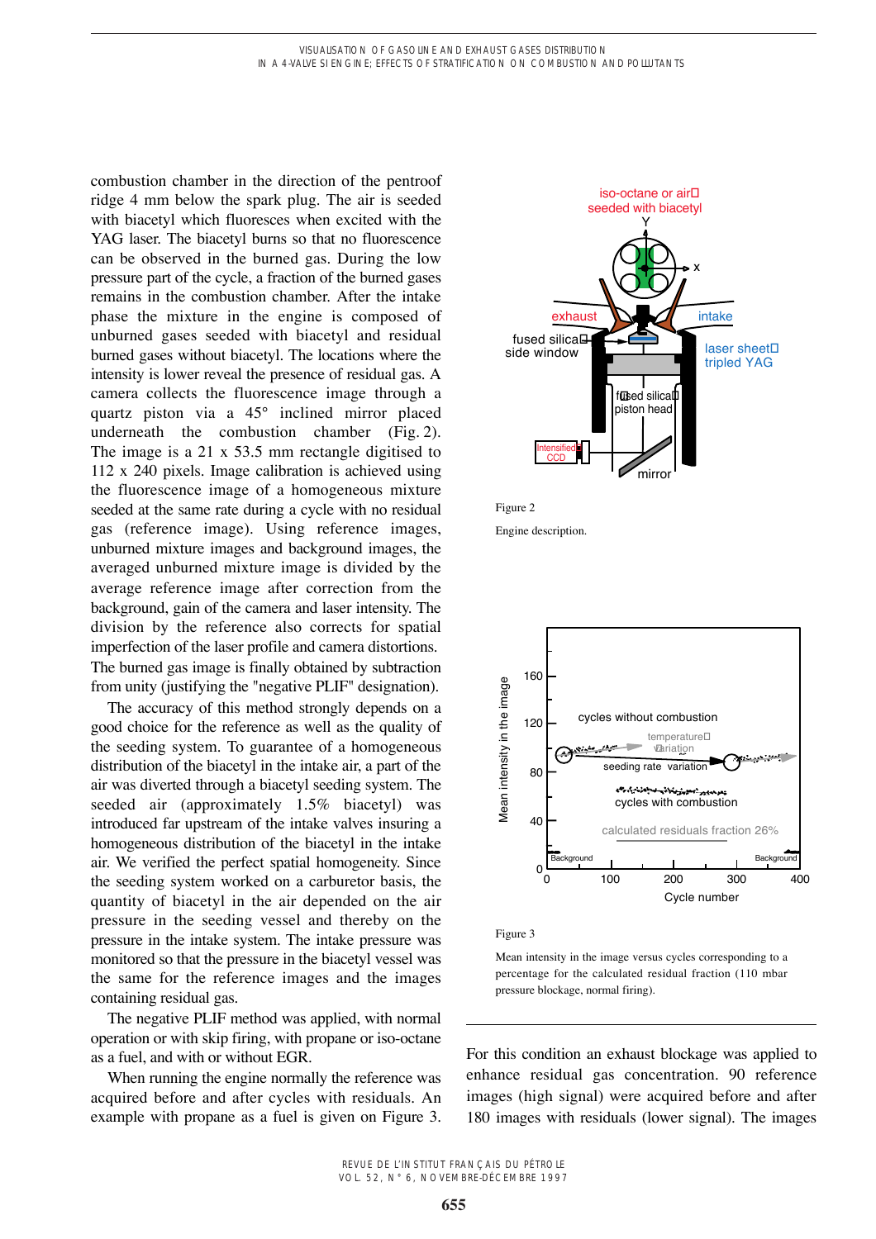combustion chamber in the direction of the pentroof ridge 4 mm below the spark plug. The air is seeded with biacetyl which fluoresces when excited with the YAG laser. The biacetyl burns so that no fluorescence can be observed in the burned gas. During the low pressure part of the cycle, a fraction of the burned gases remains in the combustion chamber. After the intake phase the mixture in the engine is composed of unburned gases seeded with biacetyl and residual burned gases without biacetyl. The locations where the intensity is lower reveal the presence of residual gas. A camera collects the fluorescence image through a quartz piston via a 45° inclined mirror placed underneath the combustion chamber (Fig. 2). The image is a 21 x 53.5 mm rectangle digitised to 112 x 240 pixels. Image calibration is achieved using the fluorescence image of a homogeneous mixture seeded at the same rate during a cycle with no residual gas (reference image). Using reference images, unburned mixture images and background images, the averaged unburned mixture image is divided by the average reference image after correction from the background, gain of the camera and laser intensity. The division by the reference also corrects for spatial imperfection of the laser profile and camera distortions. The burned gas image is finally obtained by subtraction from unity (justifying the "negative PLIF" designation).

The accuracy of this method strongly depends on a good choice for the reference as well as the quality of the seeding system. To guarantee of a homogeneous distribution of the biacetyl in the intake air, a part of the air was diverted through a biacetyl seeding system. The seeded air (approximately 1.5% biacetyl) was introduced far upstream of the intake valves insuring a homogeneous distribution of the biacetyl in the intake air. We verified the perfect spatial homogeneity. Since the seeding system worked on a carburetor basis, the quantity of biacetyl in the air depended on the air pressure in the seeding vessel and thereby on the pressure in the intake system. The intake pressure was monitored so that the pressure in the biacetyl vessel was the same for the reference images and the images containing residual gas.

The negative PLIF method was applied, with normal operation or with skip firing, with propane or iso-octane as a fuel, and with or without EGR.

When running the engine normally the reference was acquired before and after cycles with residuals. An example with propane as a fuel is given on Figure 3.





Engine description.



Figure 3

Mean intensity in the image versus cycles corresponding to a percentage for the calculated residual fraction (110 mbar pressure blockage, normal firing).

For this condition an exhaust blockage was applied to enhance residual gas concentration. 90 reference images (high signal) were acquired before and after 180 images with residuals (lower signal). The images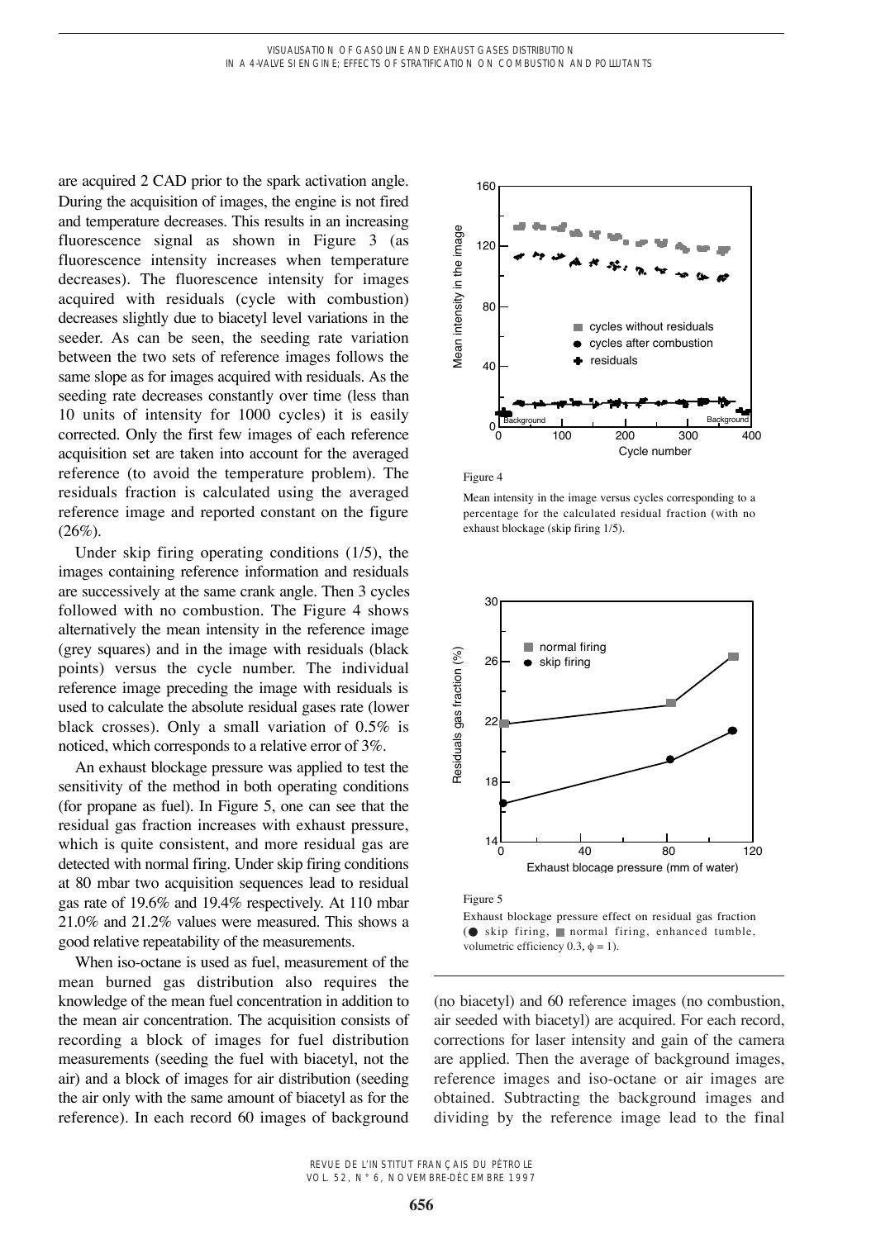are acquired 2 CAD prior to the spark activation angle. During the acquisition of images, the engine is not fired and temperature decreases. This results in an increasing fluorescence signal as shown in Figure 3 (as fluorescence intensity increases when temperature decreases). The fluorescence intensity for images acquired with residuals (cycle with combustion) decreases slightly due to biacetyl level variations in the seeder. As can be seen, the seeding rate variation between the two sets of reference images follows the same slope as for images acquired with residuals. As the seeding rate decreases constantly over time (less than 10 units of intensity for 1000 cycles) it is easily corrected. Only the first few images of each reference acquisition set are taken into account for the averaged reference (to avoid the temperature problem). The residuals fraction is calculated using the averaged reference image and reported constant on the figure  $(26\%)$ .

Under skip firing operating conditions (1/5), the images containing reference information and residuals are successively at the same crank angle. Then 3 cycles followed with no combustion. The Figure 4 shows alternatively the mean intensity in the reference image (grey squares) and in the image with residuals (black points) versus the cycle number. The individual reference image preceding the image with residuals is used to calculate the absolute residual gases rate (lower black crosses). Only a small variation of 0.5% is noticed, which corresponds to a relative error of 3%.

An exhaust blockage pressure was applied to test the sensitivity of the method in both operating conditions (for propane as fuel). In Figure 5, one can see that the residual gas fraction increases with exhaust pressure, which is quite consistent, and more residual gas are detected with normal firing. Under skip firing conditions at 80 mbar two acquisition sequences lead to residual gas rate of 19.6% and 19.4% respectively. At 110 mbar 21.0% and 21.2% values were measured. This shows a good relative repeatability of the measurements.

When iso-octane is used as fuel, measurement of the mean burned gas distribution also requires the knowledge of the mean fuel concentration in addition to the mean air concentration. The acquisition consists of recording a block of images for fuel distribution measurements (seeding the fuel with biacetyl, not the air) and a block of images for air distribution (seeding the air only with the same amount of biacetyl as for the reference). In each record 60 images of background



Figure 4

Mean intensity in the image versus cycles corresponding to a percentage for the calculated residual fraction (with no exhaust blockage (skip firing 1/5).



Exhaust blockage pressure effect on residual gas fraction (● skip firing, normal firing, enhanced tumble, volumetric efficiency 0.3,  $\phi = 1$ ).

(no biacetyl) and 60 reference images (no combustion, air seeded with biacetyl) are acquired. For each record, corrections for laser intensity and gain of the camera are applied. Then the average of background images, reference images and iso-octane or air images are obtained. Subtracting the background images and dividing by the reference image lead to the final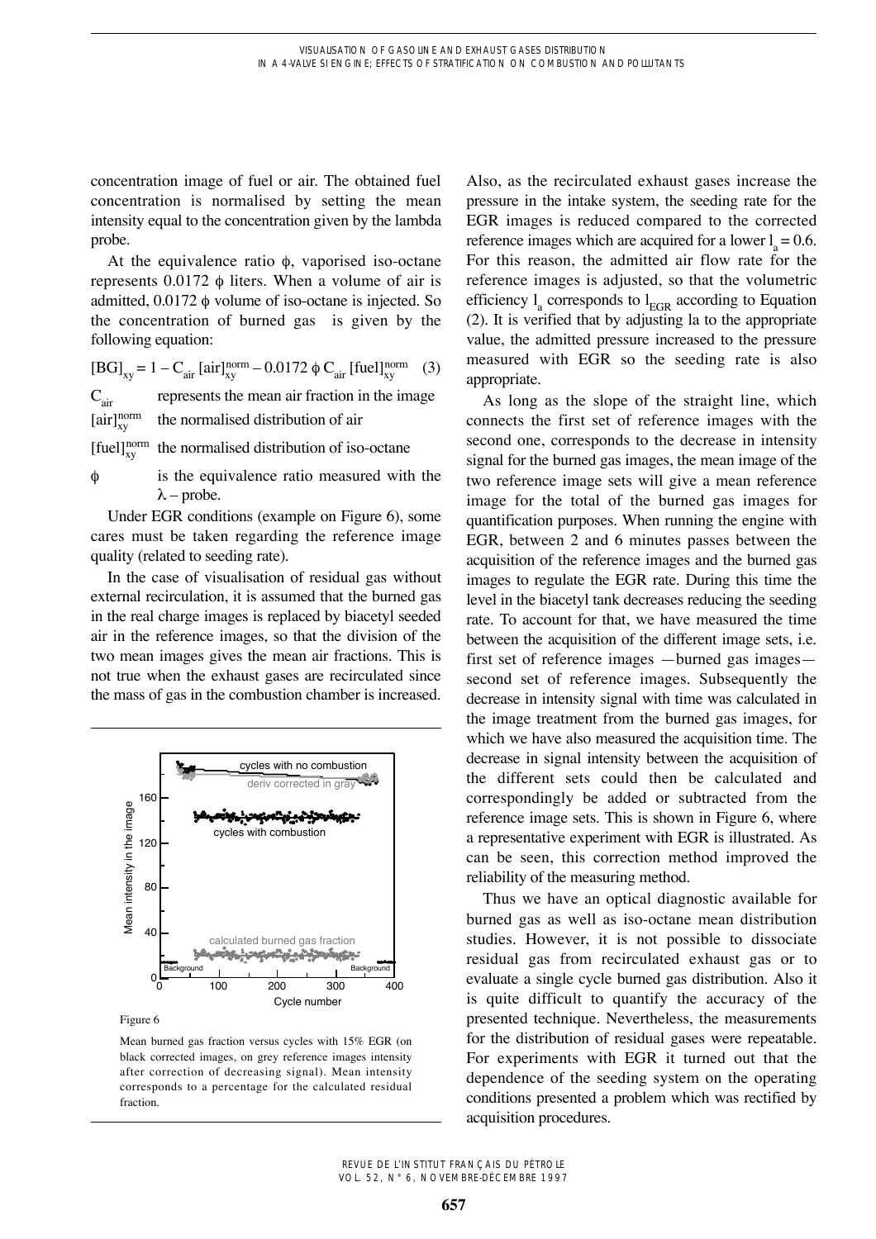concentration image of fuel or air. The obtained fuel concentration is normalised by setting the mean intensity equal to the concentration given by the lambda probe.

At the equivalence ratio  $\phi$ , vaporised iso-octane represents  $0.0172 \phi$  liters. When a volume of air is admitted,  $0.0172 \phi$  volume of iso-octane is injected. So the concentration of burned gas is given by the following equation:

 $[BG]_{xy} = 1 - C_{air} [air]_{xy}^{norm} - 0.0172 \phi C_{air} [fuel]_{xy}^{norm}$  (3)  $C_{\text{air}}$  represents the mean air fraction in the image  $[air]_{xy}^{norm}$  the normalised distribution of air

[fuel] $_{xy}^{\text{norm}}$  the normalised distribution of iso-octane

 $\phi$  is the equivalence ratio measured with the  $\lambda$  – probe.

Under EGR conditions (example on Figure 6), some cares must be taken regarding the reference image quality (related to seeding rate).

In the case of visualisation of residual gas without external recirculation, it is assumed that the burned gas in the real charge images is replaced by biacetyl seeded air in the reference images, so that the division of the two mean images gives the mean air fractions. This is not true when the exhaust gases are recirculated since the mass of gas in the combustion chamber is increased.



Figure 6

Mean burned gas fraction versus cycles with 15% EGR (on black corrected images, on grey reference images intensity after correction of decreasing signal). Mean intensity corresponds to a percentage for the calculated residual fraction.

Also, as the recirculated exhaust gases increase the pressure in the intake system, the seeding rate for the EGR images is reduced compared to the corrected reference images which are acquired for a lower  $l_a = 0.6$ . For this reason, the admitted air flow rate for the reference images is adjusted, so that the volumetric efficiency  $l_a$  corresponds to  $l_{\text{EGR}}$  according to Equation (2). It is verified that by adjusting la to the appropriate value, the admitted pressure increased to the pressure measured with EGR so the seeding rate is also appropriate.

As long as the slope of the straight line, which connects the first set of reference images with the second one, corresponds to the decrease in intensity signal for the burned gas images, the mean image of the two reference image sets will give a mean reference image for the total of the burned gas images for quantification purposes. When running the engine with EGR, between 2 and 6 minutes passes between the acquisition of the reference images and the burned gas images to regulate the EGR rate. During this time the level in the biacetyl tank decreases reducing the seeding rate. To account for that, we have measured the time between the acquisition of the different image sets, i.e. first set of reference images —burned gas images second set of reference images. Subsequently the decrease in intensity signal with time was calculated in the image treatment from the burned gas images, for which we have also measured the acquisition time. The decrease in signal intensity between the acquisition of the different sets could then be calculated and correspondingly be added or subtracted from the reference image sets. This is shown in Figure 6, where a representative experiment with EGR is illustrated. As can be seen, this correction method improved the reliability of the measuring method.

Thus we have an optical diagnostic available for burned gas as well as iso-octane mean distribution studies. However, it is not possible to dissociate residual gas from recirculated exhaust gas or to evaluate a single cycle burned gas distribution. Also it is quite difficult to quantify the accuracy of the presented technique. Nevertheless, the measurements for the distribution of residual gases were repeatable. For experiments with EGR it turned out that the dependence of the seeding system on the operating conditions presented a problem which was rectified by acquisition procedures.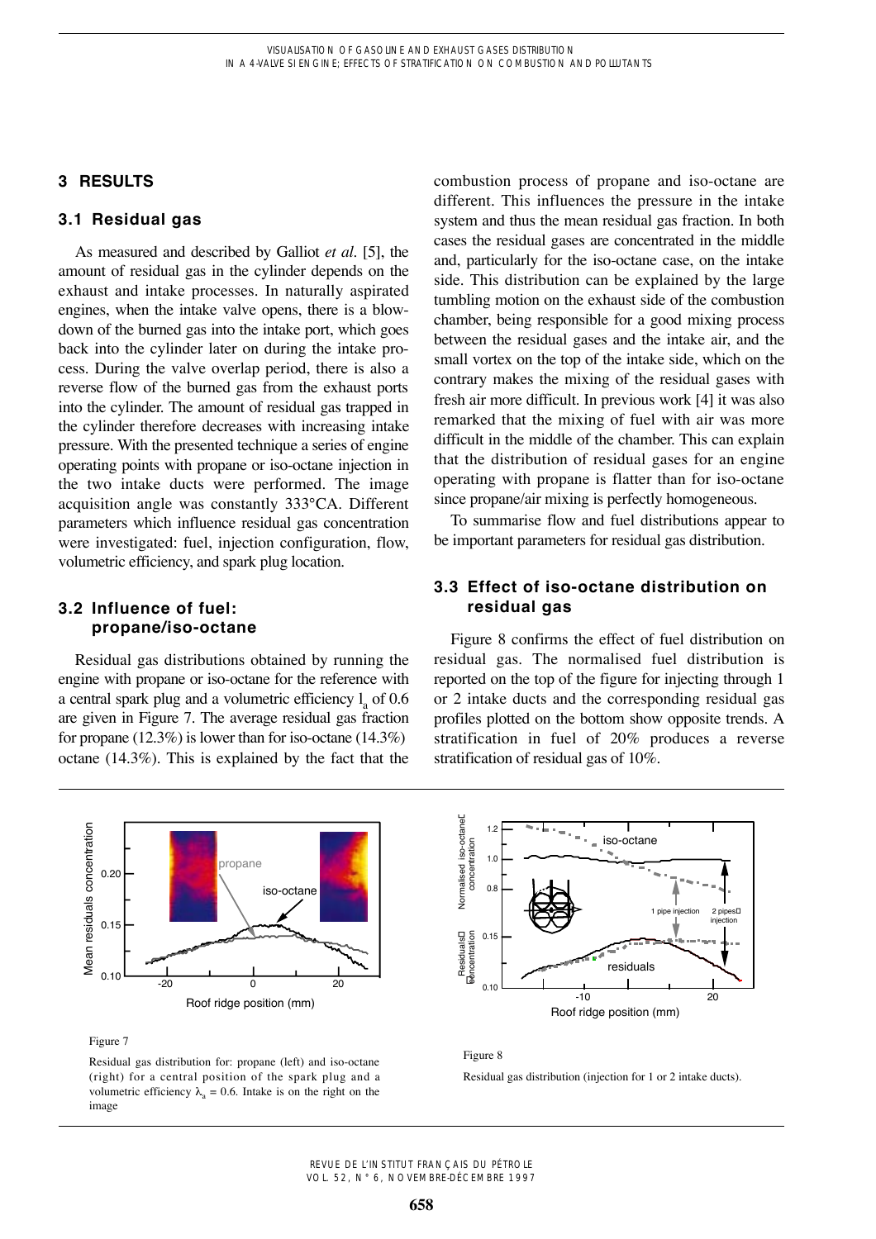## **3 RESULTS**

## **3.1 Residual gas**

As measured and described by Galliot *et al.* [5], the amount of residual gas in the cylinder depends on the exhaust and intake processes. In naturally aspirated engines, when the intake valve opens, there is a blowdown of the burned gas into the intake port, which goes back into the cylinder later on during the intake process. During the valve overlap period, there is also a reverse flow of the burned gas from the exhaust ports into the cylinder. The amount of residual gas trapped in the cylinder therefore decreases with increasing intake pressure. With the presented technique a series of engine operating points with propane or iso-octane injection in the two intake ducts were performed. The image acquisition angle was constantly 333°CA. Different parameters which influence residual gas concentration were investigated: fuel, injection configuration, flow, volumetric efficiency, and spark plug location.

## **3.2 Influence of fuel: propane/iso-octane**

Residual gas distributions obtained by running the engine with propane or iso-octane for the reference with a central spark plug and a volumetric efficiency  $l<sub>a</sub>$  of 0.6 are given in Figure 7. The average residual gas fraction for propane  $(12.3\%)$  is lower than for iso-octane  $(14.3\%)$ octane (14.3%). This is explained by the fact that the combustion process of propane and iso-octane are different. This influences the pressure in the intake system and thus the mean residual gas fraction. In both cases the residual gases are concentrated in the middle and, particularly for the iso-octane case, on the intake side. This distribution can be explained by the large tumbling motion on the exhaust side of the combustion chamber, being responsible for a good mixing process between the residual gases and the intake air, and the small vortex on the top of the intake side, which on the contrary makes the mixing of the residual gases with fresh air more difficult. In previous work [4] it was also remarked that the mixing of fuel with air was more difficult in the middle of the chamber. This can explain that the distribution of residual gases for an engine operating with propane is flatter than for iso-octane since propane/air mixing is perfectly homogeneous.

To summarise flow and fuel distributions appear to be important parameters for residual gas distribution.

## **3.3 Effect of iso-octane distribution on residual gas**

Figure 8 confirms the effect of fuel distribution on residual gas. The normalised fuel distribution is reported on the top of the figure for injecting through 1 or 2 intake ducts and the corresponding residual gas profiles plotted on the bottom show opposite trends. A stratification in fuel of 20% produces a reverse stratification of residual gas of 10%.



Figure 7

Residual gas distribution for: propane (left) and iso-octane (right) for a central position of the spark plug and a volumetric efficiency  $\lambda_a = 0.6$ . Intake is on the right on the image



#### Figure 8

Residual gas distribution (injection for 1 or 2 intake ducts).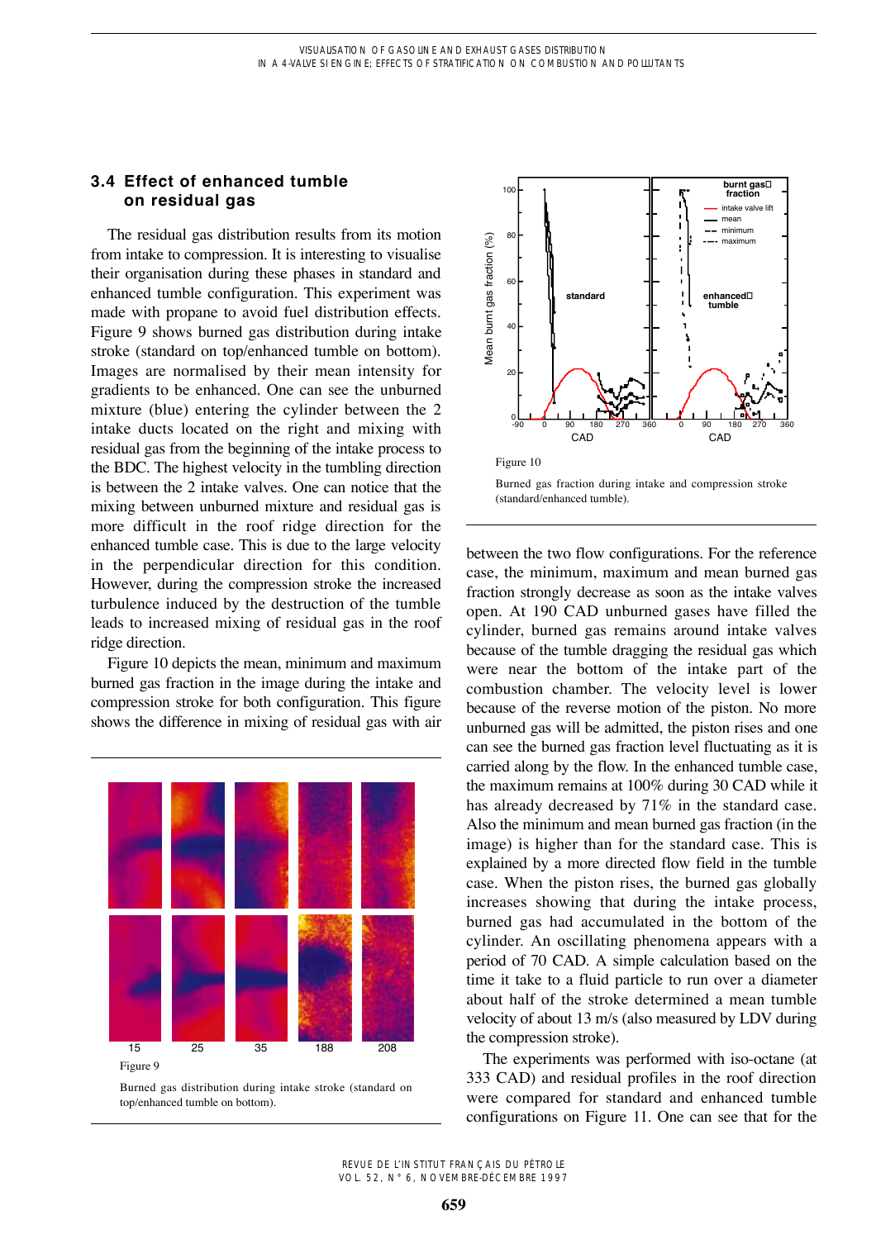## **3.4 Effect of enhanced tumble on residual gas**

The residual gas distribution results from its motion from intake to compression. It is interesting to visualise their organisation during these phases in standard and enhanced tumble configuration. This experiment was made with propane to avoid fuel distribution effects. Figure 9 shows burned gas distribution during intake stroke (standard on top/enhanced tumble on bottom). Images are normalised by their mean intensity for gradients to be enhanced. One can see the unburned mixture (blue) entering the cylinder between the 2 intake ducts located on the right and mixing with residual gas from the beginning of the intake process to the BDC. The highest velocity in the tumbling direction is between the 2 intake valves. One can notice that the mixing between unburned mixture and residual gas is more difficult in the roof ridge direction for the enhanced tumble case. This is due to the large velocity in the perpendicular direction for this condition. However, during the compression stroke the increased turbulence induced by the destruction of the tumble leads to increased mixing of residual gas in the roof ridge direction.

Figure 10 depicts the mean, minimum and maximum burned gas fraction in the image during the intake and compression stroke for both configuration. This figure shows the difference in mixing of residual gas with air



Burned gas distribution during intake stroke (standard on top/enhanced tumble on bottom).



Burned gas fraction during intake and compression stroke (standard/enhanced tumble).

between the two flow configurations. For the reference case, the minimum, maximum and mean burned gas fraction strongly decrease as soon as the intake valves open. At 190 CAD unburned gases have filled the cylinder, burned gas remains around intake valves because of the tumble dragging the residual gas which were near the bottom of the intake part of the combustion chamber. The velocity level is lower because of the reverse motion of the piston. No more unburned gas will be admitted, the piston rises and one can see the burned gas fraction level fluctuating as it is carried along by the flow. In the enhanced tumble case, the maximum remains at 100% during 30 CAD while it has already decreased by 71% in the standard case. Also the minimum and mean burned gas fraction (in the image) is higher than for the standard case. This is explained by a more directed flow field in the tumble case. When the piston rises, the burned gas globally increases showing that during the intake process, burned gas had accumulated in the bottom of the cylinder. An oscillating phenomena appears with a period of 70 CAD. A simple calculation based on the time it take to a fluid particle to run over a diameter about half of the stroke determined a mean tumble velocity of about 13 m/s (also measured by LDV during the compression stroke).

The experiments was performed with iso-octane (at 333 CAD) and residual profiles in the roof direction were compared for standard and enhanced tumble configurations on Figure 11. One can see that for the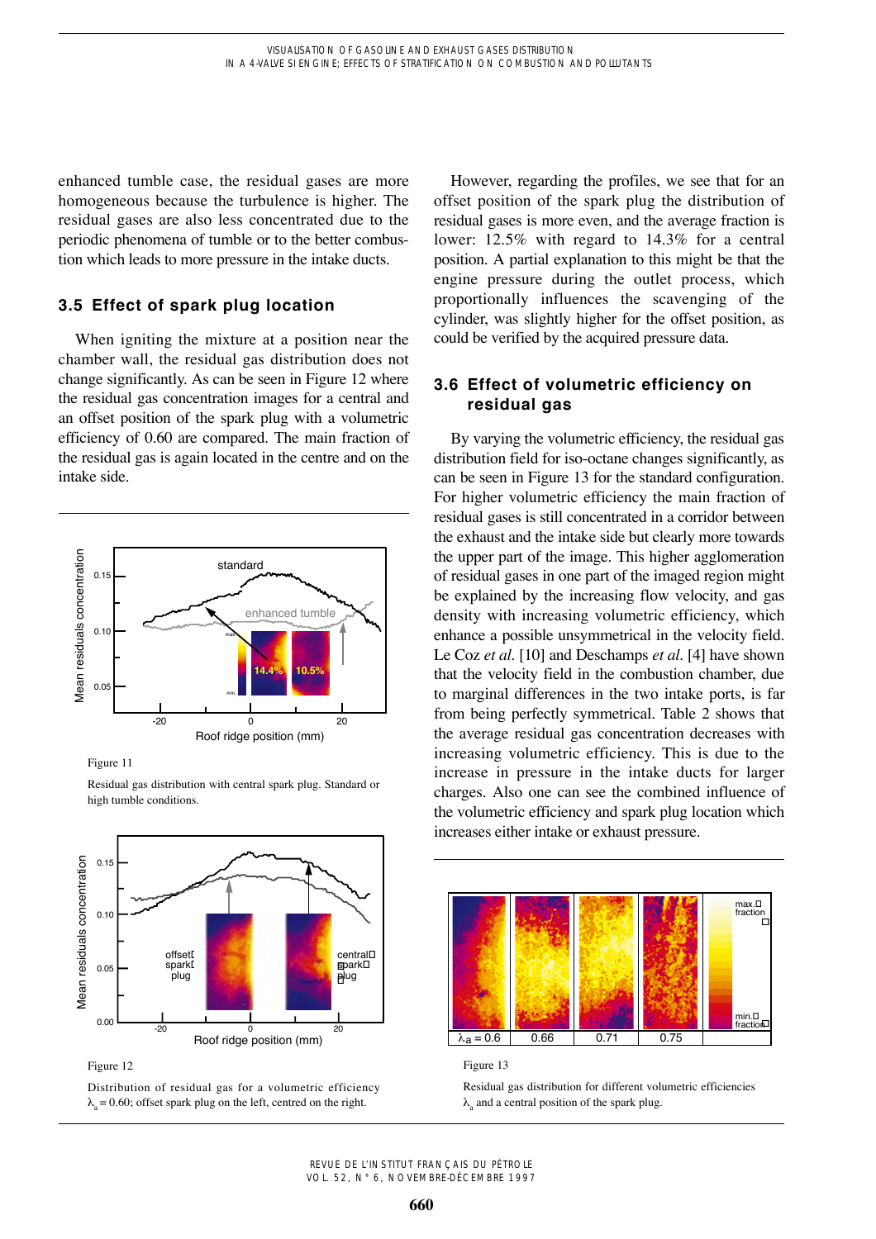enhanced tumble case, the residual gases are more homogeneous because the turbulence is higher. The residual gases are also less concentrated due to the periodic phenomena of tumble or to the better combustion which leads to more pressure in the intake ducts.

## **3.5 Effect of spark plug location**

When igniting the mixture at a position near the chamber wall, the residual gas distribution does not change significantly. As can be seen in Figure 12 where the residual gas concentration images for a central and an offset position of the spark plug with a volumetric efficiency of 0.60 are compared. The main fraction of the residual gas is again located in the centre and on the intake side.



Residual gas distribution with central spark plug. Standard or

Figure 11

high tumble conditions.

Mean residuals concentration  $0.1$ Mean residuals concentration 0.10 **12.4% 14.4%** central offset spark spark plug í 0.05 plug l 0.00 -20 0 20 Roof ridge position (mm)

Figure 12

Distribution of residual gas for a volumetric efficiency  $\lambda_{\alpha} = 0.60$ ; offset spark plug on the left, centred on the right.

However, regarding the profiles, we see that for an offset position of the spark plug the distribution of residual gases is more even, and the average fraction is lower: 12.5% with regard to 14.3% for a central position. A partial explanation to this might be that the engine pressure during the outlet process, which proportionally influences the scavenging of the cylinder, was slightly higher for the offset position, as could be verified by the acquired pressure data.

## **3.6 Effect of volumetric efficiency on residual gas**

By varying the volumetric efficiency, the residual gas distribution field for iso-octane changes significantly, as can be seen in Figure 13 for the standard configuration. For higher volumetric efficiency the main fraction of residual gases is still concentrated in a corridor between the exhaust and the intake side but clearly more towards the upper part of the image. This higher agglomeration of residual gases in one part of the imaged region might be explained by the increasing flow velocity, and gas density with increasing volumetric efficiency, which enhance a possible unsymmetrical in the velocity field. Le Coz *et al.* [10] and Deschamps *et al*. [4] have shown that the velocity field in the combustion chamber, due to marginal differences in the two intake ports, is far from being perfectly symmetrical. Table 2 shows that the average residual gas concentration decreases with increasing volumetric efficiency. This is due to the increase in pressure in the intake ducts for larger charges. Also one can see the combined influence of the volumetric efficiency and spark plug location which increases either intake or exhaust pressure.



Figure 13

Residual gas distribution for different volumetric efficiencies  $\lambda$  and a central position of the spark plug.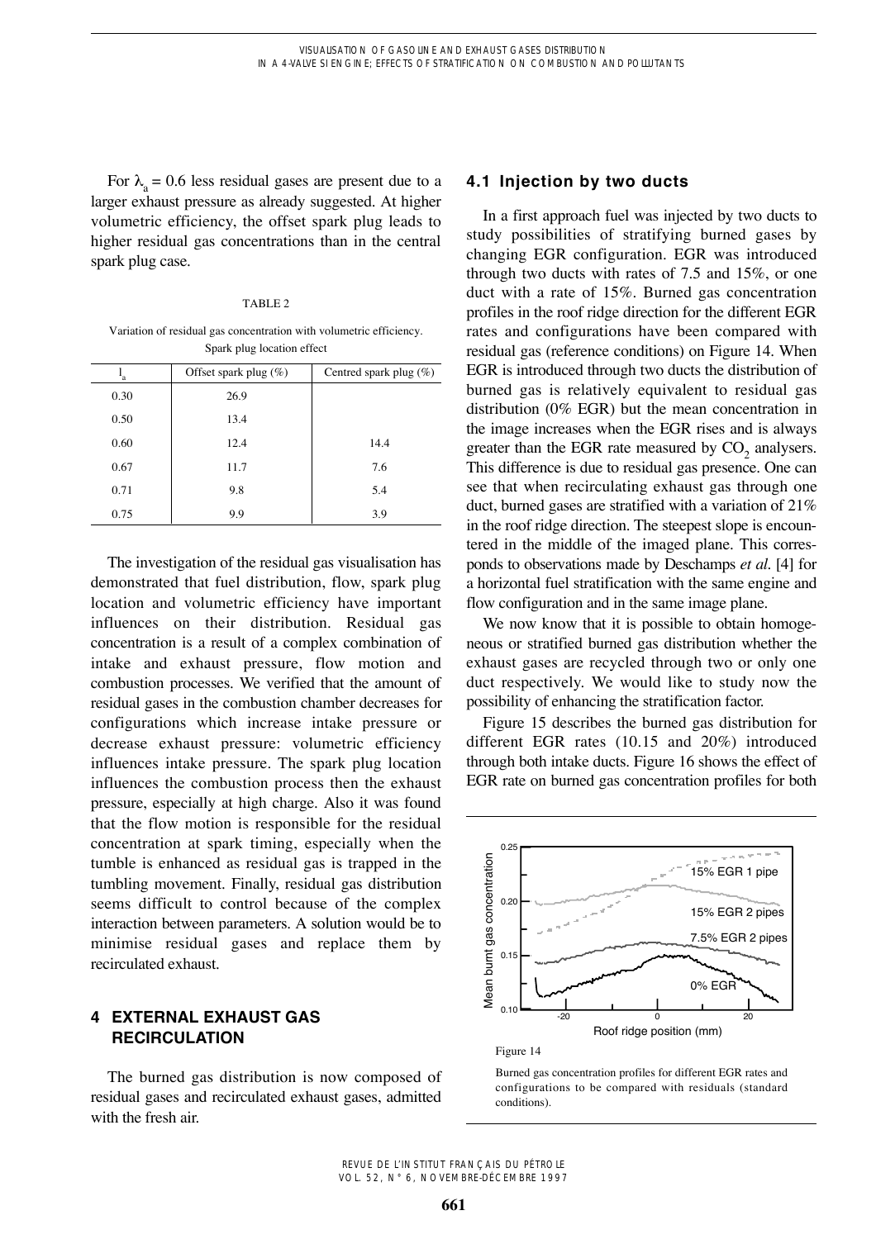For  $\lambda_a = 0.6$  less residual gases are present due to a larger exhaust pressure as already suggested. At higher volumetric efficiency, the offset spark plug leads to higher residual gas concentrations than in the central spark plug case.

### TABLE 2

Variation of residual gas concentration with volumetric efficiency. Spark plug location effect

| $\mathbf{I}_a$ | Offset spark plug $(\%)$ | Centred spark plug $(\%)$ |
|----------------|--------------------------|---------------------------|
| 0.30           | 26.9                     |                           |
| 0.50           | 13.4                     |                           |
| 0.60           | 12.4                     | 14.4                      |
| 0.67           | 11.7                     | 7.6                       |
| 0.71           | 9.8                      | 5.4                       |
| 0.75           | 9.9                      | 3.9                       |

The investigation of the residual gas visualisation has demonstrated that fuel distribution, flow, spark plug location and volumetric efficiency have important influences on their distribution. Residual gas concentration is a result of a complex combination of intake and exhaust pressure, flow motion and combustion processes. We verified that the amount of residual gases in the combustion chamber decreases for configurations which increase intake pressure or decrease exhaust pressure: volumetric efficiency influences intake pressure. The spark plug location influences the combustion process then the exhaust pressure, especially at high charge. Also it was found that the flow motion is responsible for the residual concentration at spark timing, especially when the tumble is enhanced as residual gas is trapped in the tumbling movement. Finally, residual gas distribution seems difficult to control because of the complex interaction between parameters. A solution would be to minimise residual gases and replace them by recirculated exhaust.

## **4 EXTERNAL EXHAUST GAS RECIRCULATION**

The burned gas distribution is now composed of residual gases and recirculated exhaust gases, admitted with the fresh air.

## **4.1 Injection by two ducts**

In a first approach fuel was injected by two ducts to study possibilities of stratifying burned gases by changing EGR configuration. EGR was introduced through two ducts with rates of 7.5 and 15%, or one duct with a rate of 15%. Burned gas concentration profiles in the roof ridge direction for the different EGR rates and configurations have been compared with residual gas (reference conditions) on Figure 14. When EGR is introduced through two ducts the distribution of burned gas is relatively equivalent to residual gas distribution (0% EGR) but the mean concentration in the image increases when the EGR rises and is always greater than the EGR rate measured by CO<sub>2</sub> analysers. This difference is due to residual gas presence. One can see that when recirculating exhaust gas through one duct, burned gases are stratified with a variation of 21% in the roof ridge direction. The steepest slope is encountered in the middle of the imaged plane. This corresponds to observations made by Deschamps *et al*. [4] for a horizontal fuel stratification with the same engine and flow configuration and in the same image plane.

We now know that it is possible to obtain homogeneous or stratified burned gas distribution whether the exhaust gases are recycled through two or only one duct respectively. We would like to study now the possibility of enhancing the stratification factor.

Figure 15 describes the burned gas distribution for different EGR rates (10.15 and 20%) introduced through both intake ducts. Figure 16 shows the effect of EGR rate on burned gas concentration profiles for both





Burned gas concentration profiles for different EGR rates and configurations to be compared with residuals (standard conditions).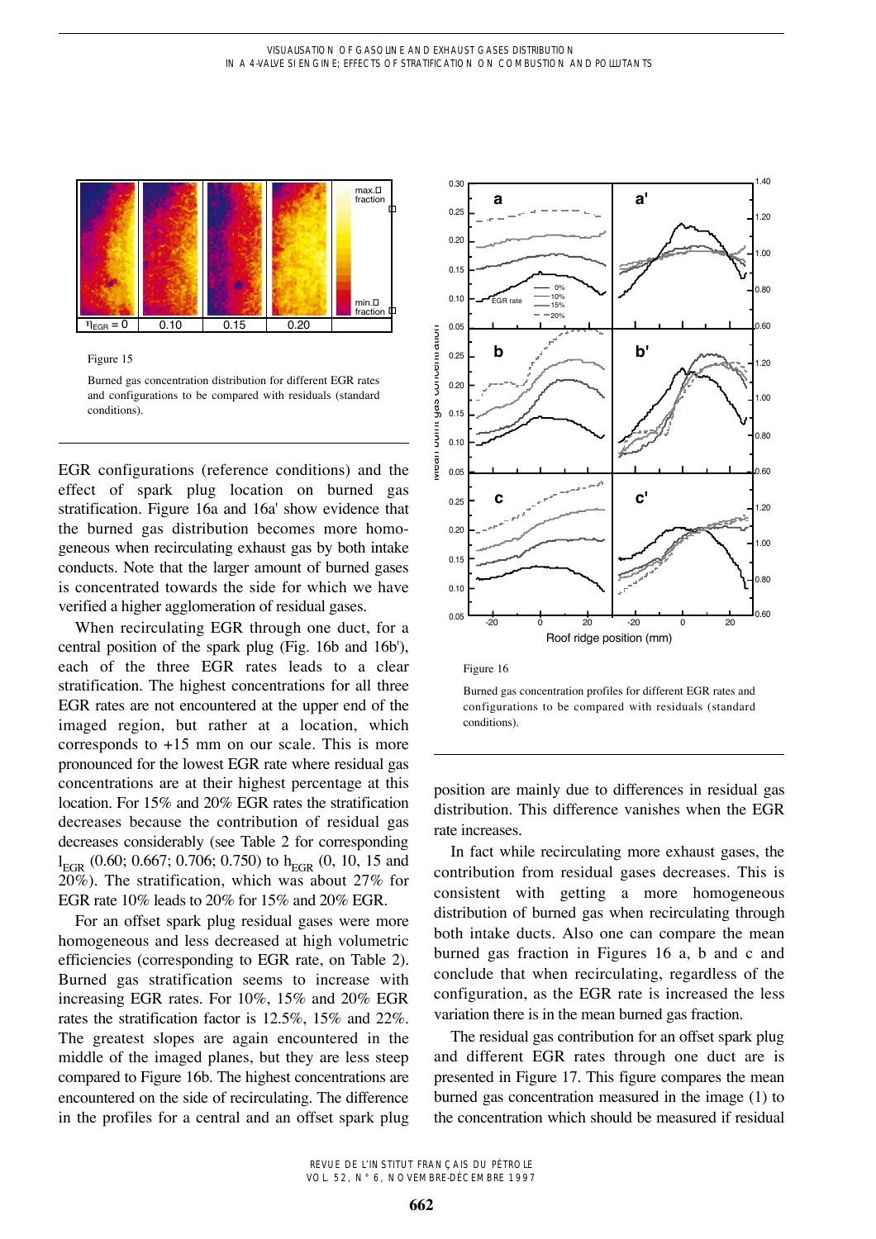

Figure 15

Burned gas concentration distribution for different EGR rates and configurations to be compared with residuals (standard conditions).

EGR configurations (reference conditions) and the effect of spark plug location on burned gas stratification. Figure 16a and 16a' show evidence that the burned gas distribution becomes more homogeneous when recirculating exhaust gas by both intake conducts. Note that the larger amount of burned gases is concentrated towards the side for which we have verified a higher agglomeration of residual gases.

When recirculating EGR through one duct, for a central position of the spark plug (Fig. 16b and 16b'), each of the three EGR rates leads to a clear stratification. The highest concentrations for all three EGR rates are not encountered at the upper end of the imaged region, but rather at a location, which corresponds to  $+15$  mm on our scale. This is more pronounced for the lowest EGR rate where residual gas concentrations are at their highest percentage at this location. For 15% and 20% EGR rates the stratification decreases because the contribution of residual gas decreases considerably (see Table 2 for corresponding  $l_{\rm EGR}$  (0.60; 0.667; 0.706; 0.750) to  $h_{\rm EGR}$  (0, 10, 15 and 20%). The stratification, which was about 27% for EGR rate 10% leads to 20% for 15% and 20% EGR.

For an offset spark plug residual gases were more homogeneous and less decreased at high volumetric efficiencies (corresponding to EGR rate, on Table 2). Burned gas stratification seems to increase with increasing EGR rates. For 10%, 15% and 20% EGR rates the stratification factor is 12.5%, 15% and 22%. The greatest slopes are again encountered in the middle of the imaged planes, but they are less steep compared to Figure 16b. The highest concentrations are encountered on the side of recirculating. The difference in the profiles for a central and an offset spark plug



Burned gas concentration profiles for different EGR rates and configurations to be compared with residuals (standard conditions).

position are mainly due to differences in residual gas distribution. This difference vanishes when the EGR rate increases.

In fact while recirculating more exhaust gases, the contribution from residual gases decreases. This is consistent with getting a more homogeneous distribution of burned gas when recirculating through both intake ducts. Also one can compare the mean burned gas fraction in Figures 16 a, b and c and conclude that when recirculating, regardless of the configuration, as the EGR rate is increased the less variation there is in the mean burned gas fraction.

The residual gas contribution for an offset spark plug and different EGR rates through one duct are is presented in Figure 17. This figure compares the mean burned gas concentration measured in the image (1) to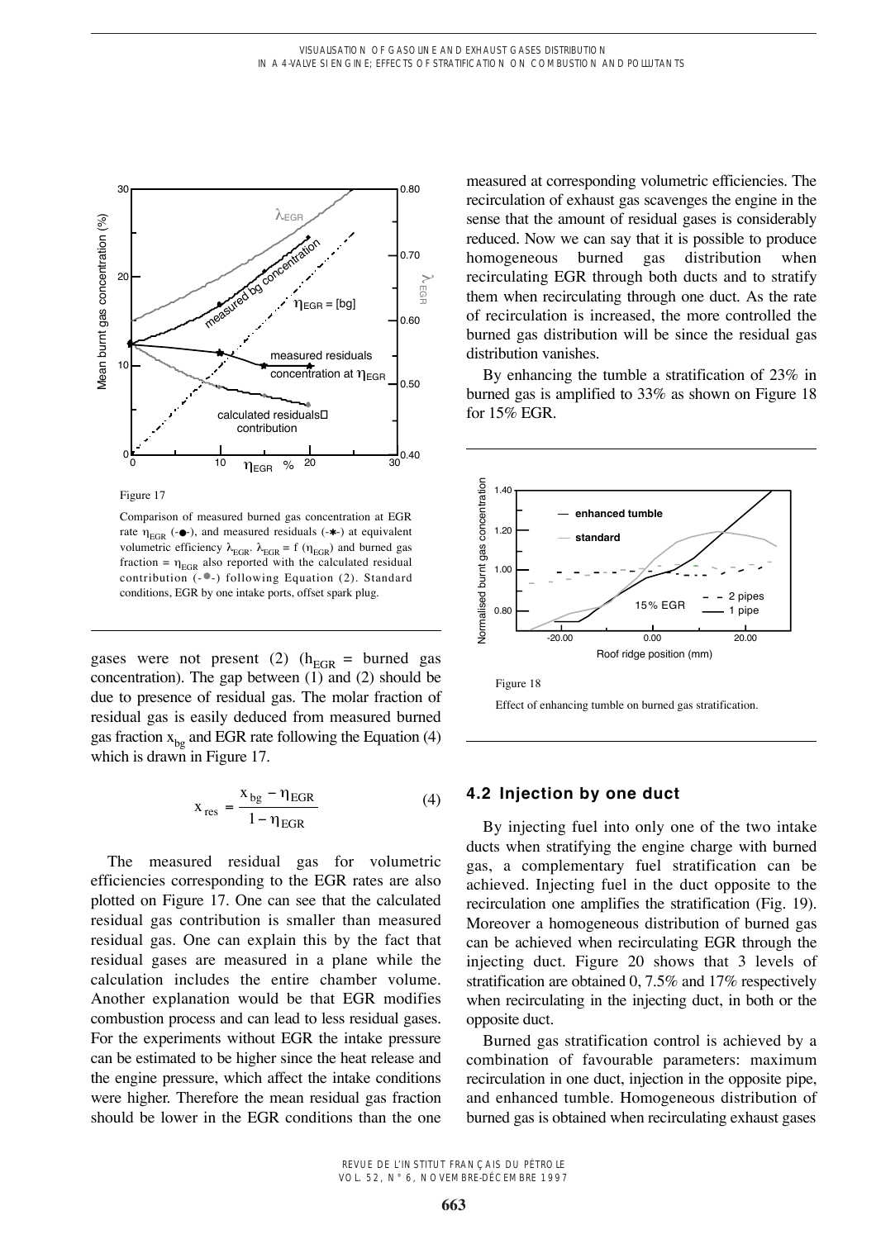

Figure 17

Comparison of measured burned gas concentration at EGR rate  $\eta_{EGR}$  (- $\bullet$ -), and measured residuals (- $\ast$ -) at equivalent volumetric efficiency  $\lambda_{\text{EGR}}$ .  $\lambda_{\text{EGR}} = f(\eta_{\text{EGR}})$  and burned gas fraction =  $\eta_{\text{EGR}}$  also reported with the calculated residual contribution  $(-\bullet)$  following Equation (2). Standard conditions, EGR by one intake ports, offset spark plug.

gases were not present (2) ( $h_{EGR}$  = burned gas concentration). The gap between (1) and (2) should be due to presence of residual gas. The molar fraction of residual gas is easily deduced from measured burned gas fraction  $x_{bg}$  and EGR rate following the Equation (4) which is drawn in Figure 17.

$$
x_{res} = \frac{x_{bg} - \eta_{EGR}}{1 - \eta_{EGR}}
$$
 (4)

The measured residual gas for volumetric efficiencies corresponding to the EGR rates are also plotted on Figure 17. One can see that the calculated residual gas contribution is smaller than measured residual gas. One can explain this by the fact that residual gases are measured in a plane while the calculation includes the entire chamber volume. Another explanation would be that EGR modifies combustion process and can lead to less residual gases. For the experiments without EGR the intake pressure can be estimated to be higher since the heat release and the engine pressure, which affect the intake conditions were higher. Therefore the mean residual gas fraction should be lower in the EGR conditions than the one

measured at corresponding volumetric efficiencies. The recirculation of exhaust gas scavenges the engine in the sense that the amount of residual gases is considerably reduced. Now we can say that it is possible to produce homogeneous burned gas distribution when recirculating EGR through both ducts and to stratify them when recirculating through one duct. As the rate of recirculation is increased, the more controlled the burned gas distribution will be since the residual gas distribution vanishes.

By enhancing the tumble a stratification of 23% in burned gas is amplified to 33% as shown on Figure 18 for 15% EGR.





## **4.2 Injection by one duct**

By injecting fuel into only one of the two intake ducts when stratifying the engine charge with burned gas, a complementary fuel stratification can be achieved. Injecting fuel in the duct opposite to the recirculation one amplifies the stratification (Fig. 19). Moreover a homogeneous distribution of burned gas can be achieved when recirculating EGR through the injecting duct. Figure 20 shows that 3 levels of stratification are obtained 0, 7.5% and 17% respectively when recirculating in the injecting duct, in both or the opposite duct.

Burned gas stratification control is achieved by a combination of favourable parameters: maximum recirculation in one duct, injection in the opposite pipe, and enhanced tumble. Homogeneous distribution of burned gas is obtained when recirculating exhaust gases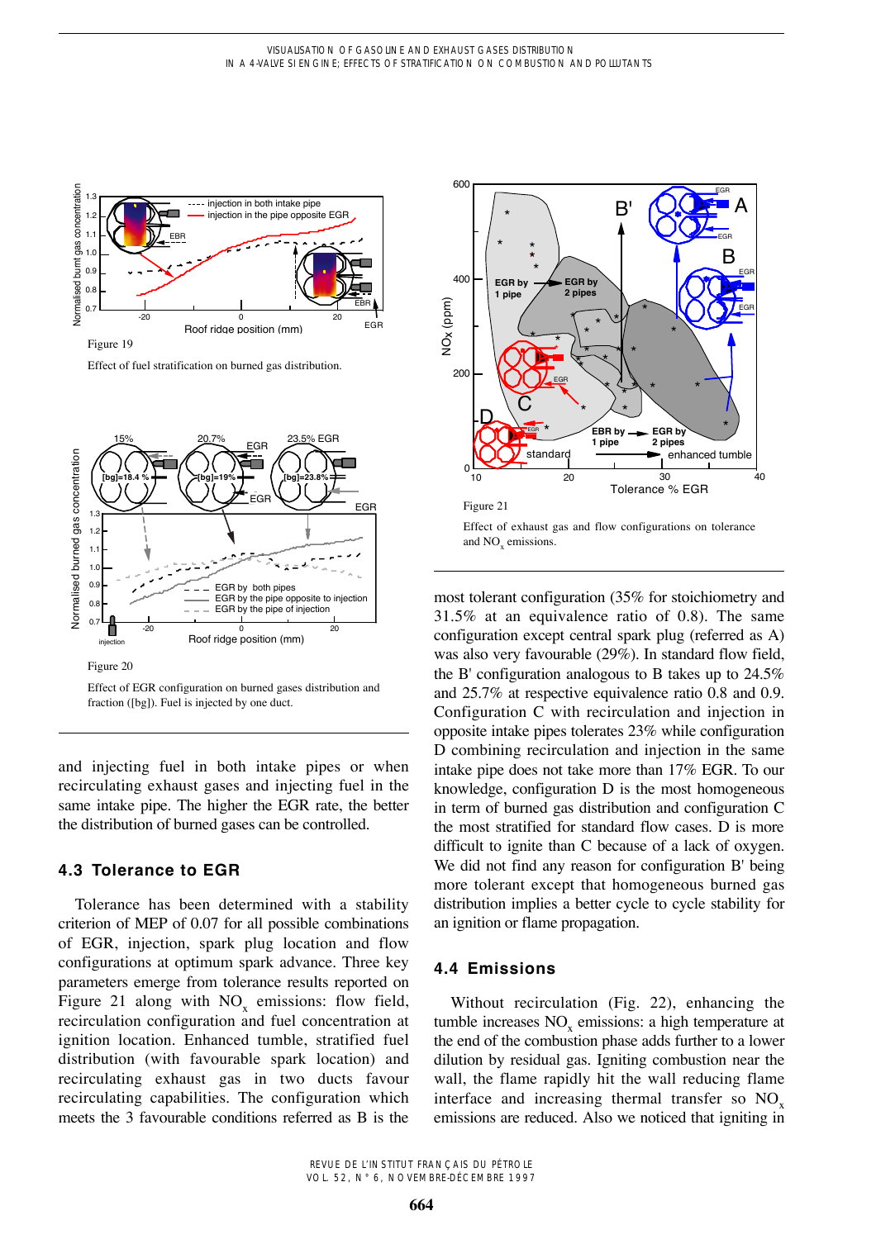

Effect of fuel stratification on burned gas distribution.



Effect of EGR configuration on burned gases distribution and fraction ([bg]). Fuel is injected by one duct.

and injecting fuel in both intake pipes or when recirculating exhaust gases and injecting fuel in the same intake pipe. The higher the EGR rate, the better the distribution of burned gases can be controlled.

## **4.3 Tolerance to EGR**

Tolerance has been determined with a stability criterion of MEP of 0.07 for all possible combinations of EGR, injection, spark plug location and flow configurations at optimum spark advance. Three key parameters emerge from tolerance results reported on Figure 21 along with  $NO_x$  emissions: flow field, recirculation configuration and fuel concentration at ignition location. Enhanced tumble, stratified fuel distribution (with favourable spark location) and recirculating exhaust gas in two ducts favour recirculating capabilities. The configuration which meets the 3 favourable conditions referred as B is the



and NO<sub>y</sub> emissions.

most tolerant configuration (35% for stoichiometry and 31.5% at an equivalence ratio of 0.8). The same configuration except central spark plug (referred as A) was also very favourable (29%). In standard flow field, the B' configuration analogous to B takes up to 24.5% and 25.7% at respective equivalence ratio 0.8 and 0.9. Configuration C with recirculation and injection in opposite intake pipes tolerates 23% while configuration D combining recirculation and injection in the same intake pipe does not take more than 17% EGR. To our knowledge, configuration D is the most homogeneous in term of burned gas distribution and configuration C the most stratified for standard flow cases. D is more difficult to ignite than C because of a lack of oxygen. We did not find any reason for configuration B' being more tolerant except that homogeneous burned gas distribution implies a better cycle to cycle stability for an ignition or flame propagation.

## **4.4 Emissions**

Without recirculation (Fig. 22), enhancing the tumble increases  $NO<sub>x</sub>$  emissions: a high temperature at the end of the combustion phase adds further to a lower dilution by residual gas. Igniting combustion near the wall, the flame rapidly hit the wall reducing flame interface and increasing thermal transfer so  $NO<sub>x</sub>$ emissions are reduced. Also we noticed that igniting in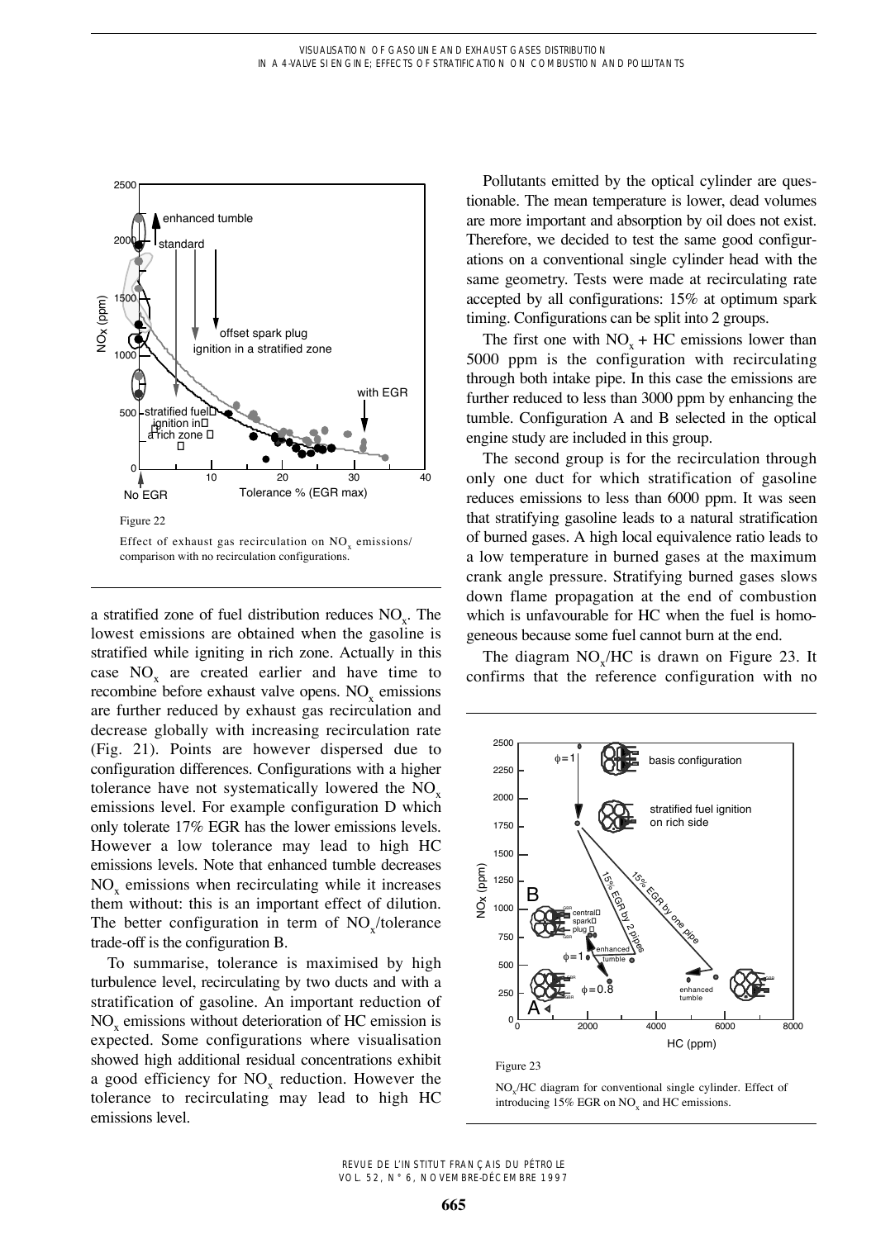

a stratified zone of fuel distribution reduces  $NO<sub>x</sub>$ . The lowest emissions are obtained when the gasoline is stratified while igniting in rich zone. Actually in this case  $NO<sub>x</sub>$  are created earlier and have time to recombine before exhaust valve opens. NO<sub>y</sub> emissions are further reduced by exhaust gas recirculation and decrease globally with increasing recirculation rate (Fig. 21). Points are however dispersed due to configuration differences. Configurations with a higher tolerance have not systematically lowered the  $NO<sub>x</sub>$ emissions level. For example configuration D which only tolerate 17% EGR has the lower emissions levels. However a low tolerance may lead to high HC emissions levels. Note that enhanced tumble decreases  $NO<sub>x</sub>$  emissions when recirculating while it increases them without: this is an important effect of dilution. The better configuration in term of  $NO$ <sub>/</sub>/tolerance trade-off is the configuration B.

To summarise, tolerance is maximised by high turbulence level, recirculating by two ducts and with a stratification of gasoline. An important reduction of NO<sub>y</sub> emissions without deterioration of HC emission is expected. Some configurations where visualisation showed high additional residual concentrations exhibit a good efficiency for  $NO<sub>x</sub>$  reduction. However the tolerance to recirculating may lead to high HC emissions level.

Pollutants emitted by the optical cylinder are questionable. The mean temperature is lower, dead volumes are more important and absorption by oil does not exist. Therefore, we decided to test the same good configurations on a conventional single cylinder head with the same geometry. Tests were made at recirculating rate accepted by all configurations: 15% at optimum spark timing. Configurations can be split into 2 groups.

The first one with  $NO_x + HC$  emissions lower than 5000 ppm is the configuration with recirculating through both intake pipe. In this case the emissions are further reduced to less than 3000 ppm by enhancing the tumble. Configuration A and B selected in the optical engine study are included in this group.

The second group is for the recirculation through only one duct for which stratification of gasoline reduces emissions to less than 6000 ppm. It was seen that stratifying gasoline leads to a natural stratification of burned gases. A high local equivalence ratio leads to a low temperature in burned gases at the maximum crank angle pressure. Stratifying burned gases slows down flame propagation at the end of combustion which is unfavourable for HC when the fuel is homogeneous because some fuel cannot burn at the end.

The diagram  $NO<sub>x</sub>/HC$  is drawn on Figure 23. It confirms that the reference configuration with no



Figure 23

NOx/HC diagram for conventional single cylinder. Effect of introducing 15% EGR on NO<sub>y</sub> and HC emissions.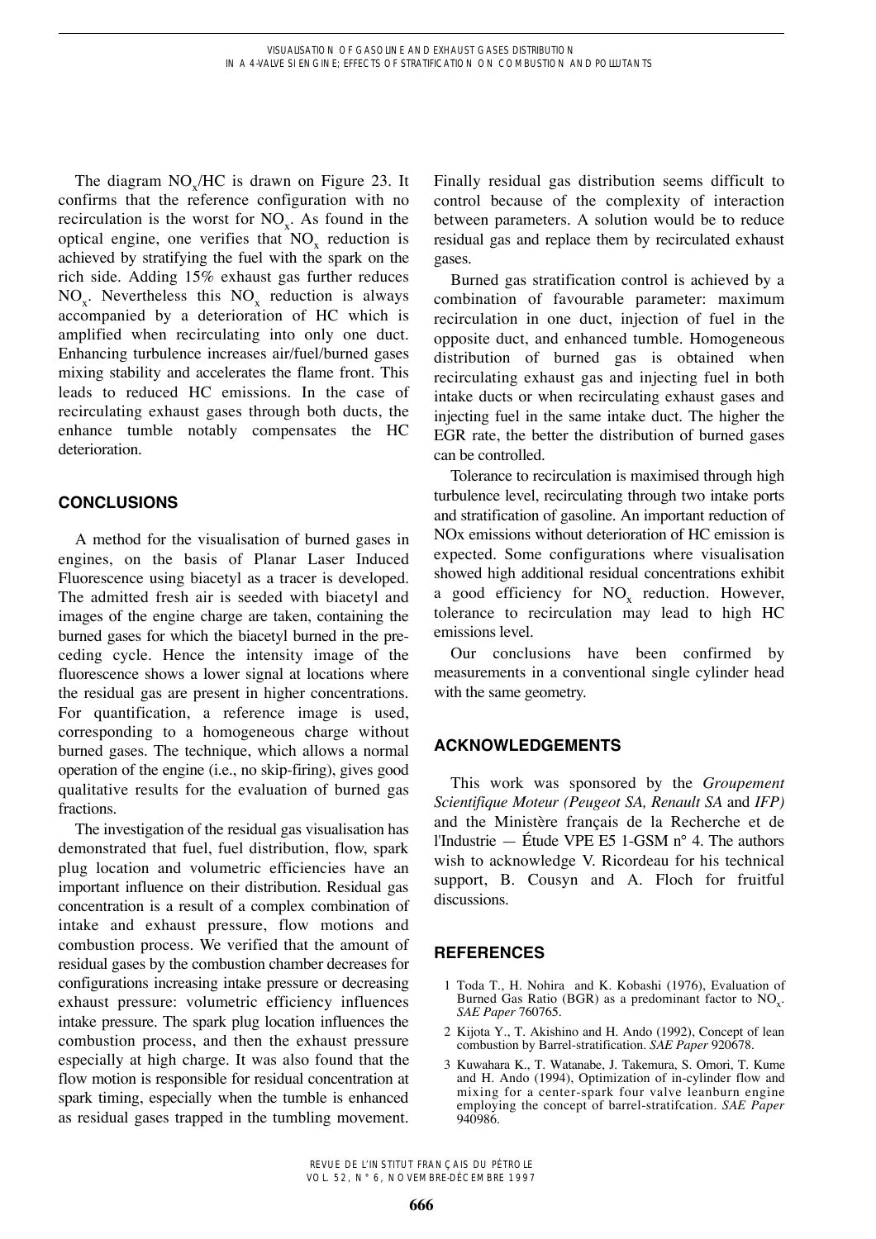The diagram  $NO_x/HC$  is drawn on Figure 23. It confirms that the reference configuration with no recirculation is the worst for  $NO<sub>x</sub>$ . As found in the optical engine, one verifies that  $NO<sub>x</sub>$  reduction is achieved by stratifying the fuel with the spark on the rich side. Adding 15% exhaust gas further reduces  $NO<sub>x</sub>$ . Nevertheless this  $NO<sub>x</sub>$  reduction is always accompanied by a deterioration of HC which is amplified when recirculating into only one duct. Enhancing turbulence increases air/fuel/burned gases mixing stability and accelerates the flame front. This leads to reduced HC emissions. In the case of recirculating exhaust gases through both ducts, the enhance tumble notably compensates the HC deterioration.

# **CONCLUSIONS**

A method for the visualisation of burned gases in engines, on the basis of Planar Laser Induced Fluorescence using biacetyl as a tracer is developed. The admitted fresh air is seeded with biacetyl and images of the engine charge are taken, containing the burned gases for which the biacetyl burned in the preceding cycle. Hence the intensity image of the fluorescence shows a lower signal at locations where the residual gas are present in higher concentrations. For quantification, a reference image is used, corresponding to a homogeneous charge without burned gases. The technique, which allows a normal operation of the engine (i.e., no skip-firing), gives good qualitative results for the evaluation of burned gas fractions.

The investigation of the residual gas visualisation has demonstrated that fuel, fuel distribution, flow, spark plug location and volumetric efficiencies have an important influence on their distribution. Residual gas concentration is a result of a complex combination of intake and exhaust pressure, flow motions and combustion process. We verified that the amount of residual gases by the combustion chamber decreases for configurations increasing intake pressure or decreasing exhaust pressure: volumetric efficiency influences intake pressure. The spark plug location influences the combustion process, and then the exhaust pressure especially at high charge. It was also found that the flow motion is responsible for residual concentration at spark timing, especially when the tumble is enhanced as residual gases trapped in the tumbling movement.

Finally residual gas distribution seems difficult to control because of the complexity of interaction between parameters. A solution would be to reduce residual gas and replace them by recirculated exhaust gases.

Burned gas stratification control is achieved by a combination of favourable parameter: maximum recirculation in one duct, injection of fuel in the opposite duct, and enhanced tumble. Homogeneous distribution of burned gas is obtained when recirculating exhaust gas and injecting fuel in both intake ducts or when recirculating exhaust gases and injecting fuel in the same intake duct. The higher the EGR rate, the better the distribution of burned gases can be controlled.

Tolerance to recirculation is maximised through high turbulence level, recirculating through two intake ports and stratification of gasoline. An important reduction of NOx emissions without deterioration of HC emission is expected. Some configurations where visualisation showed high additional residual concentrations exhibit a good efficiency for  $NO<sub>x</sub>$  reduction. However, tolerance to recirculation may lead to high HC emissions level.

Our conclusions have been confirmed by measurements in a conventional single cylinder head with the same geometry.

# **ACKNOWLEDGEMENTS**

This work was sponsored by the *Groupement Scientifique Moteur (Peugeot SA, Renault SA* and *IFP)* and the Ministère français de la Recherche et de l'Industrie — Étude VPE E5 1-GSM n° 4. The authors wish to acknowledge V. Ricordeau for his technical support, B. Cousyn and A. Floch for fruitful discussions.

# **REFERENCES**

- 1 Toda T., H. Nohira and K. Kobashi (1976), Evaluation of Burned Gas Ratio (BGR) as a predominant factor to  $NO<sub>x</sub>$ . *SAE Paper* 760765.
- 2 Kijota Y., T. Akishino and H. Ando (1992), Concept of lean combustion by Barrel-stratification. *SAE Paper* 920678.
- 3 Kuwahara K., T. Watanabe, J. Takemura, S. Omori, T. Kume and H. Ando (1994), Optimization of in-cylinder flow and mixing for a center-spark four valve leanburn engine employing the concept of barrel-stratifcation. *SAE Paper* 940986.